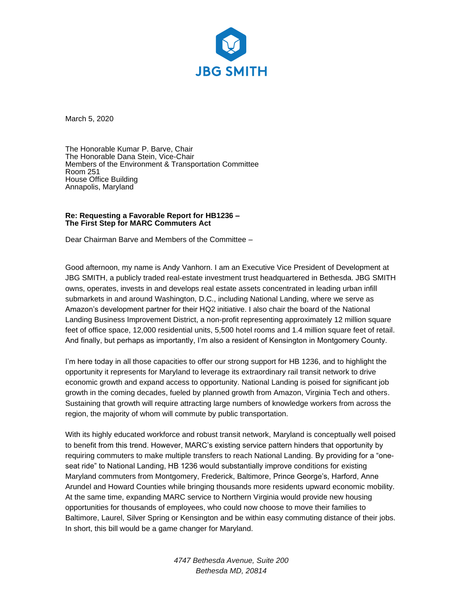

March 5, 2020

The Honorable Kumar P. Barve, Chair The Honorable Dana Stein, Vice-Chair Members of the Environment & Transportation Committee Room 251 House Office Building Annapolis, Maryland

## **Re: Requesting a Favorable Report for HB1236 – The First Step for MARC Commuters Act**

Dear Chairman Barve and Members of the Committee –

Good afternoon, my name is Andy Vanhorn. I am an Executive Vice President of Development at JBG SMITH, a publicly traded real-estate investment trust headquartered in Bethesda. JBG SMITH owns, operates, invests in and develops real estate assets concentrated in leading urban infill submarkets in and around Washington, D.C., including National Landing, where we serve as Amazon's development partner for their HQ2 initiative. I also chair the board of the National Landing Business Improvement District, a non-profit representing approximately 12 million square feet of office space, 12,000 residential units, 5,500 hotel rooms and 1.4 million square feet of retail. And finally, but perhaps as importantly, I'm also a resident of Kensington in Montgomery County.

I'm here today in all those capacities to offer our strong support for HB 1236, and to highlight the opportunity it represents for Maryland to leverage its extraordinary rail transit network to drive economic growth and expand access to opportunity. National Landing is poised for significant job growth in the coming decades, fueled by planned growth from Amazon, Virginia Tech and others. Sustaining that growth will require attracting large numbers of knowledge workers from across the region, the majority of whom will commute by public transportation.

With its highly educated workforce and robust transit network, Maryland is conceptually well poised to benefit from this trend. However, MARC's existing service pattern hinders that opportunity by requiring commuters to make multiple transfers to reach National Landing. By providing for a "oneseat ride" to National Landing, HB 1236 would substantially improve conditions for existing Maryland commuters from Montgomery, Frederick, Baltimore, Prince George's, Harford, Anne Arundel and Howard Counties while bringing thousands more residents upward economic mobility. At the same time, expanding MARC service to Northern Virginia would provide new housing opportunities for thousands of employees, who could now choose to move their families to Baltimore, Laurel, Silver Spring or Kensington and be within easy commuting distance of their jobs. In short, this bill would be a game changer for Maryland.

> *4747 Bethesda Avenue, Suite 200 Bethesda MD, 20814*